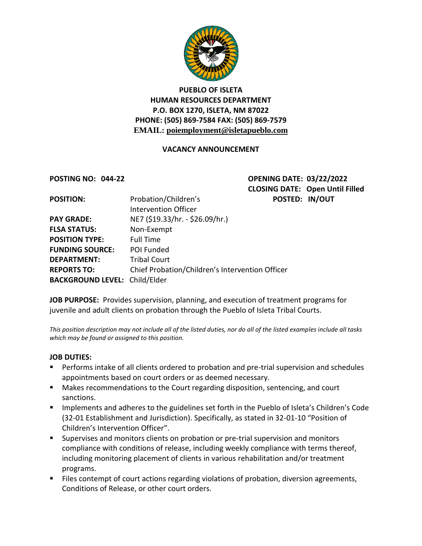

# **PUEBLO OF ISLETA HUMAN RESOURCES DEPARTMENT P.O. BOX 1270, ISLETA, NM 87022 PHONE: (505) 869-7584 FAX: (505) 869-7579 EMAIL: poiemployment@isletapueblo.com**

### **VACANCY ANNOUNCEMENT**

**POSTING NO: 044-22 OPENING DATE: 03/22/2022 CLOSING DATE: Open Until Filled POSITION:** Probation/Children's **POSTED: IN/OUT**

| <b>POSITION:</b>                     | Probation/Children's                            | POS <sup>-</sup> |
|--------------------------------------|-------------------------------------------------|------------------|
|                                      | Intervention Officer                            |                  |
| <b>PAY GRADE:</b>                    | NE7 (\$19.33/hr. - \$26.09/hr.)                 |                  |
| <b>FLSA STATUS:</b>                  | Non-Exempt                                      |                  |
| <b>POSITION TYPE:</b>                | <b>Full Time</b>                                |                  |
| <b>FUNDING SOURCE:</b>               | POI Funded                                      |                  |
| <b>DEPARTMENT:</b>                   | <b>Tribal Court</b>                             |                  |
| <b>REPORTS TO:</b>                   | Chief Probation/Children's Intervention Officer |                  |
| <b>BACKGROUND LEVEL: Child/Elder</b> |                                                 |                  |

**JOB PURPOSE:** Provides supervision, planning, and execution of treatment programs for juvenile and adult clients on probation through the Pueblo of Isleta Tribal Courts.

*This position description may not include all of the listed duties, nor do all of the listed examples include all tasks which may be found or assigned to this position.*

#### **JOB DUTIES:**

- **Performs intake of all clients ordered to probation and pre-trial supervision and schedules** appointments based on court orders or as deemed necessary.
- Makes recommendations to the Court regarding disposition, sentencing, and court sanctions.
- **IMPLEM** Implements and adheres to the guidelines set forth in the Pueblo of Isleta's Children's Code (32-01 Establishment and Jurisdiction). Specifically, as stated in 32-01-10 "Position of Children's Intervention Officer".
- **Supervises and monitors clients on probation or pre-trial supervision and monitors** compliance with conditions of release, including weekly compliance with terms thereof, including monitoring placement of clients in various rehabilitation and/or treatment programs.
- Files contempt of court actions regarding violations of probation, diversion agreements, Conditions of Release, or other court orders.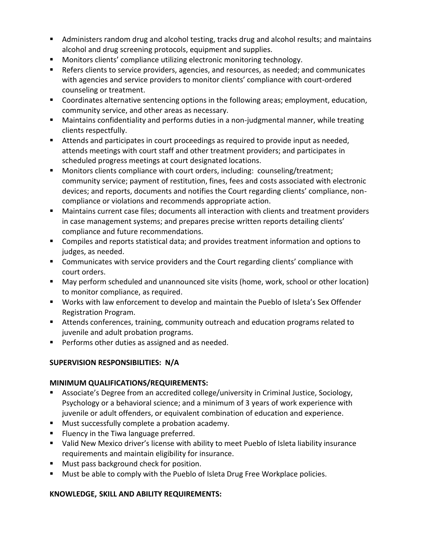- Administers random drug and alcohol testing, tracks drug and alcohol results; and maintains alcohol and drug screening protocols, equipment and supplies.
- **Monitors clients' compliance utilizing electronic monitoring technology.**
- Refers clients to service providers, agencies, and resources, as needed; and communicates with agencies and service providers to monitor clients' compliance with court-ordered counseling or treatment.
- Coordinates alternative sentencing options in the following areas; employment, education, community service, and other areas as necessary.
- Maintains confidentiality and performs duties in a non-judgmental manner, while treating clients respectfully.
- Attends and participates in court proceedings as required to provide input as needed, attends meetings with court staff and other treatment providers; and participates in scheduled progress meetings at court designated locations.
- Monitors clients compliance with court orders, including: counseling/treatment; community service; payment of restitution, fines, fees and costs associated with electronic devices; and reports, documents and notifies the Court regarding clients' compliance, noncompliance or violations and recommends appropriate action.
- Maintains current case files; documents all interaction with clients and treatment providers in case management systems; and prepares precise written reports detailing clients' compliance and future recommendations.
- Compiles and reports statistical data; and provides treatment information and options to judges, as needed.
- **EXTE:** Communicates with service providers and the Court regarding clients' compliance with court orders.
- May perform scheduled and unannounced site visits (home, work, school or other location) to monitor compliance, as required.
- Works with law enforcement to develop and maintain the Pueblo of Isleta's Sex Offender Registration Program.
- Attends conferences, training, community outreach and education programs related to juvenile and adult probation programs.
- **Performs other duties as assigned and as needed.**

## **SUPERVISION RESPONSIBILITIES: N/A**

## **MINIMUM QUALIFICATIONS/REQUIREMENTS:**

- Associate's Degree from an accredited college/university in Criminal Justice, Sociology, Psychology or a behavioral science; and a minimum of 3 years of work experience with juvenile or adult offenders, or equivalent combination of education and experience.
- **Must successfully complete a probation academy.**
- **Fillat Fluency in the Tiwa language preferred.**
- Valid New Mexico driver's license with ability to meet Pueblo of Isleta liability insurance requirements and maintain eligibility for insurance.
- **Must pass background check for position.**
- **Must be able to comply with the Pueblo of Isleta Drug Free Workplace policies.**

## **KNOWLEDGE, SKILL AND ABILITY REQUIREMENTS:**